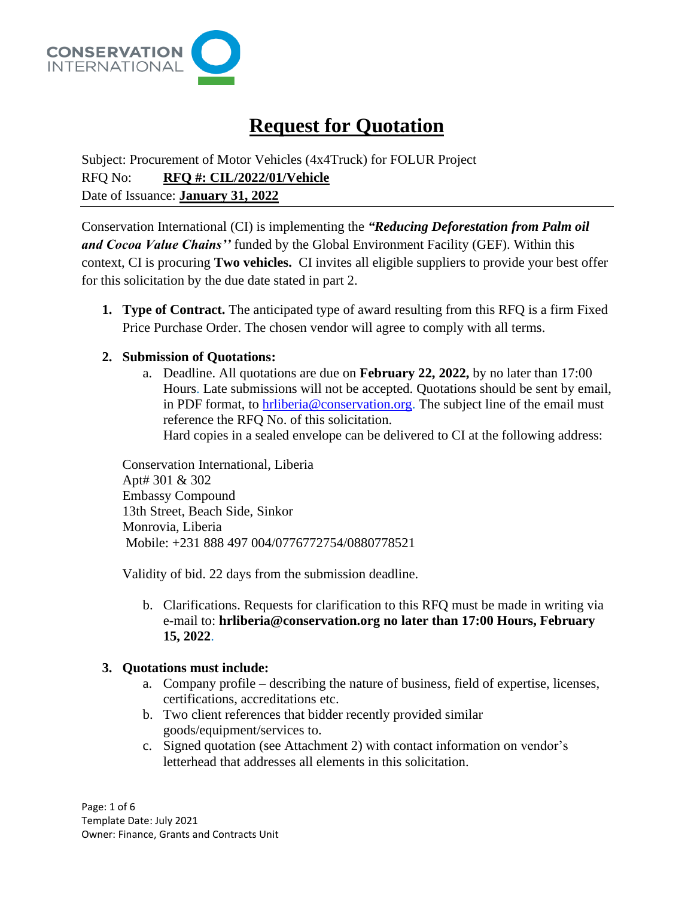

# **Request for Quotation**

Subject: Procurement of Motor Vehicles (4x4Truck) for FOLUR Project RFQ No: **RFQ #: CIL/2022/01/Vehicle** Date of Issuance: **January 31, 2022**

Conservation International (CI) is implementing the *"Reducing Deforestation from Palm oil and Cocoa Value Chains''* funded by the Global Environment Facility (GEF). Within this context, CI is procuring **Two vehicles.** CI invites all eligible suppliers to provide your best offer for this solicitation by the due date stated in part 2.

**1. Type of Contract.** The anticipated type of award resulting from this RFQ is a firm Fixed Price Purchase Order. The chosen vendor will agree to comply with all terms.

## **2. Submission of Quotations:**

a. Deadline. All quotations are due on **February 22, 2022,** by no later than 17:00 Hours. Late submissions will not be accepted. Quotations should be sent by email, in PDF format, to [hrliberia@conservation.org.](mailto:hrliberia@conservation.org) The subject line of the email must reference the RFQ No. of this solicitation. Hard copies in a sealed envelope can be delivered to CI at the following address:

Conservation International, Liberia Apt# 301 & 302 Embassy Compound 13th Street, Beach Side, Sinkor Monrovia, Liberia Mobile: +231 888 497 004/0776772754/0880778521

Validity of bid. 22 days from the submission deadline.

b. Clarifications. Requests for clarification to this RFQ must be made in writing via e-mail to: **hrliberia@conservation.org no later than 17:00 Hours, February 15, 2022**.

#### **3. Quotations must include:**

- a. Company profile describing the nature of business, field of expertise, licenses, certifications, accreditations etc.
- b. Two client references that bidder recently provided similar goods/equipment/services to.
- c. Signed quotation (see Attachment 2) with contact information on vendor's letterhead that addresses all elements in this solicitation.

Page: 1 of 6 Template Date: July 2021 Owner: Finance, Grants and Contracts Unit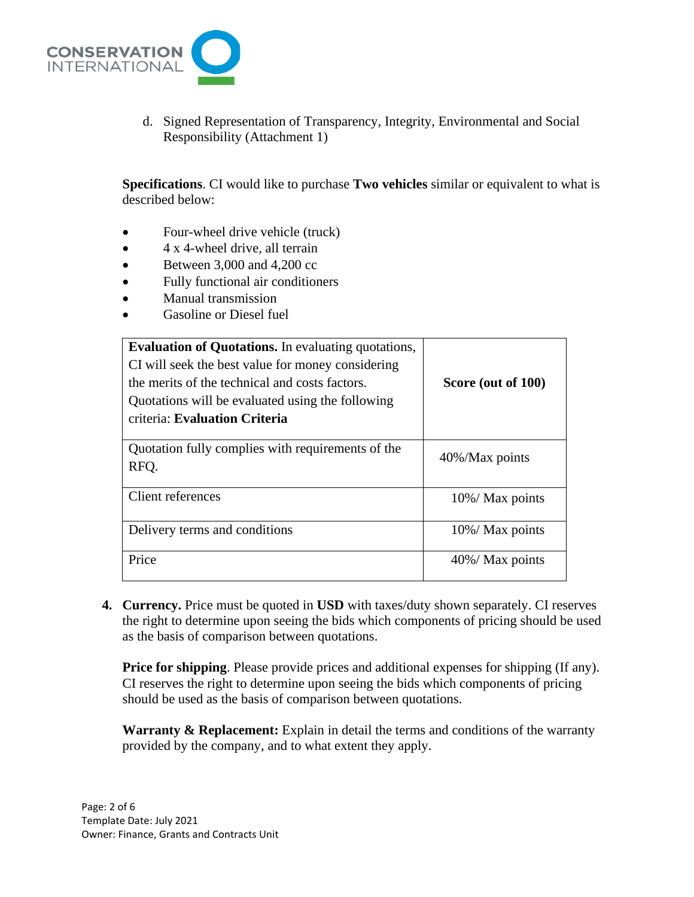

d. Signed Representation of Transparency, Integrity, Environmental and Social Responsibility (Attachment 1)

**Specifications**. CI would like to purchase **Two vehicles** similar or equivalent to what is described below:

- Four-wheel drive vehicle (truck)
- 4 x 4-wheel drive, all terrain
- Between 3,000 and 4,200 cc
- Fully functional air conditioners
- Manual transmission
- Gasoline or Diesel fuel

| <b>Evaluation of Quotations.</b> In evaluating quotations,<br>CI will seek the best value for money considering<br>the merits of the technical and costs factors.<br>Quotations will be evaluated using the following<br>criteria: Evaluation Criteria | Score (out of 100) |
|--------------------------------------------------------------------------------------------------------------------------------------------------------------------------------------------------------------------------------------------------------|--------------------|
| Quotation fully complies with requirements of the<br>RFQ.                                                                                                                                                                                              | 40%/Max points     |
| Client references                                                                                                                                                                                                                                      | 10%/ Max points    |
| Delivery terms and conditions                                                                                                                                                                                                                          | 10%/ Max points    |
| Price                                                                                                                                                                                                                                                  | 40%/ Max points    |

**4. Currency.** Price must be quoted in **USD** with taxes/duty shown separately. CI reserves the right to determine upon seeing the bids which components of pricing should be used as the basis of comparison between quotations.

**Price for shipping**. Please provide prices and additional expenses for shipping (If any). CI reserves the right to determine upon seeing the bids which components of pricing should be used as the basis of comparison between quotations.

**Warranty & Replacement:** Explain in detail the terms and conditions of the warranty provided by the company, and to what extent they apply.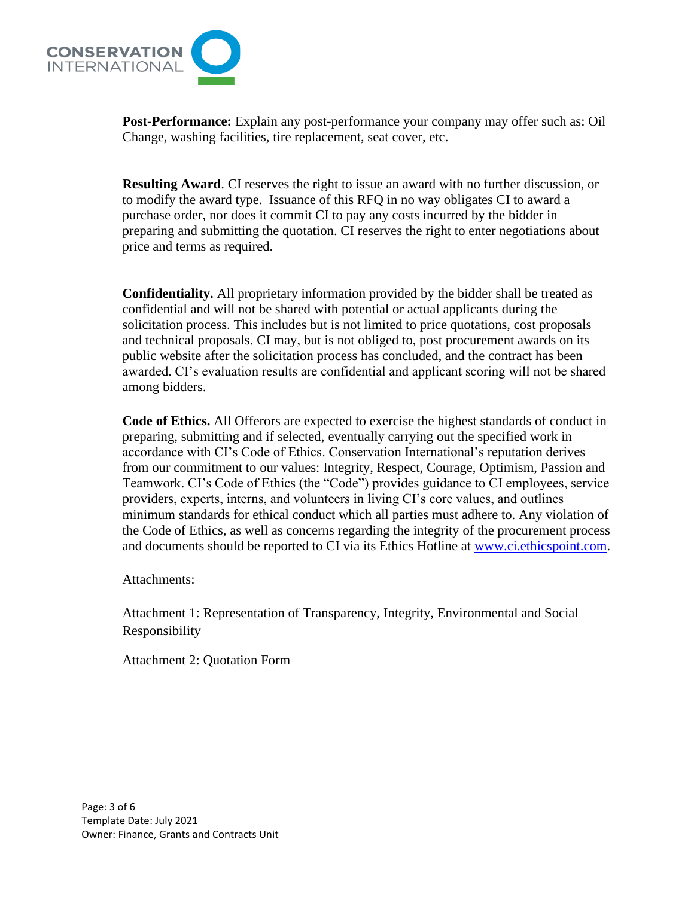

**Post-Performance:** Explain any post-performance your company may offer such as: Oil Change, washing facilities, tire replacement, seat cover, etc.

**Resulting Award**. CI reserves the right to issue an award with no further discussion, or to modify the award type. Issuance of this RFQ in no way obligates CI to award a purchase order, nor does it commit CI to pay any costs incurred by the bidder in preparing and submitting the quotation. CI reserves the right to enter negotiations about price and terms as required.

**Confidentiality.** All proprietary information provided by the bidder shall be treated as confidential and will not be shared with potential or actual applicants during the solicitation process. This includes but is not limited to price quotations, cost proposals and technical proposals. CI may, but is not obliged to, post procurement awards on its public website after the solicitation process has concluded, and the contract has been awarded. CI's evaluation results are confidential and applicant scoring will not be shared among bidders.

**Code of Ethics.** All Offerors are expected to exercise the highest standards of conduct in preparing, submitting and if selected, eventually carrying out the specified work in accordance with CI's Code of Ethics. Conservation International's reputation derives from our commitment to our values: Integrity, Respect, Courage, Optimism, Passion and Teamwork. CI's Code of Ethics (the "Code") provides guidance to CI employees, service providers, experts, interns, and volunteers in living CI's core values, and outlines minimum standards for ethical conduct which all parties must adhere to. Any violation of the Code of Ethics, as well as concerns regarding the integrity of the procurement process and documents should be reported to CI via its Ethics Hotline at [www.ci.ethicspoint.com.](http://www.ci.ethicspoint.com/)

Attachments:

Attachment 1: Representation of Transparency, Integrity, Environmental and Social Responsibility

Attachment 2: Quotation Form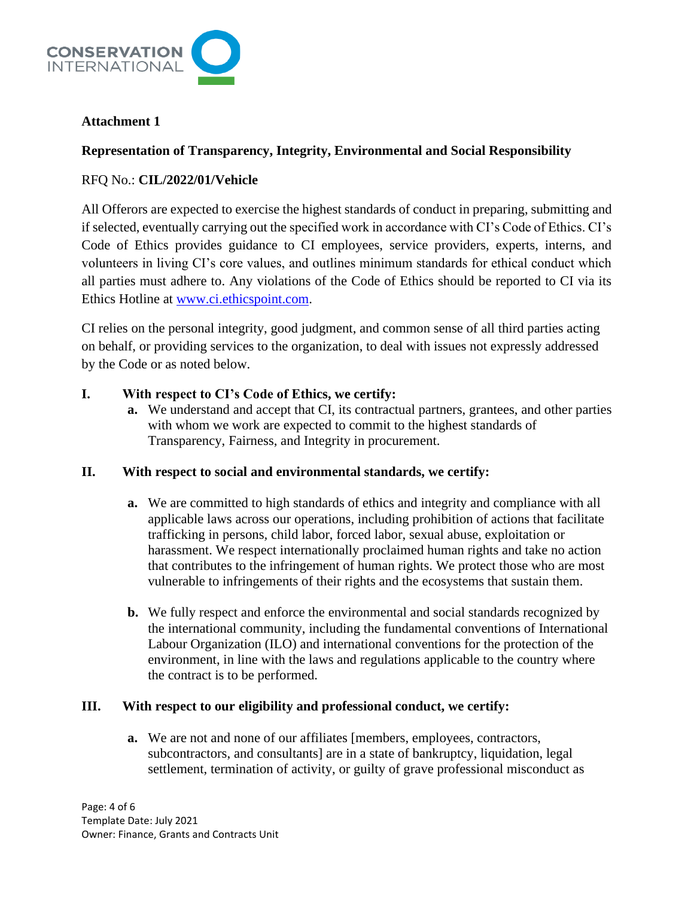

## **Attachment 1**

## **Representation of Transparency, Integrity, Environmental and Social Responsibility**

## RFQ No.: **CIL/2022/01/Vehicle**

All Offerors are expected to exercise the highest standards of conduct in preparing, submitting and if selected, eventually carrying out the specified work in accordance with CI's Code of Ethics. CI's Code of Ethics provides guidance to CI employees, service providers, experts, interns, and volunteers in living CI's core values, and outlines minimum standards for ethical conduct which all parties must adhere to. Any violations of the Code of Ethics should be reported to CI via its Ethics Hotline at [www.ci.ethicspoint.com.](http://www.ci.ethicspoint.com/)

CI relies on the personal integrity, good judgment, and common sense of all third parties acting on behalf, or providing services to the organization, to deal with issues not expressly addressed by the Code or as noted below.

### **I. With respect to CI's Code of Ethics, we certify:**

**a.** We understand and accept that CI, its contractual partners, grantees, and other parties with whom we work are expected to commit to the highest standards of Transparency, Fairness, and Integrity in procurement.

## **II. With respect to social and environmental standards, we certify:**

- **a.** We are committed to high standards of ethics and integrity and compliance with all applicable laws across our operations, including prohibition of actions that facilitate trafficking in persons*,* child labor, forced labor, sexual abuse, exploitation or harassment. We respect internationally proclaimed human rights and take no action that contributes to the infringement of human rights. We protect those who are most vulnerable to infringements of their rights and the ecosystems that sustain them.
- **b.** We fully respect and enforce the environmental and social standards recognized by the international community, including the fundamental conventions of International Labour Organization (ILO) and international conventions for the protection of the environment, in line with the laws and regulations applicable to the country where the contract is to be performed.

## **III. With respect to our eligibility and professional conduct, we certify:**

**a.** We are not and none of our affiliates [members, employees, contractors, subcontractors, and consultants] are in a state of bankruptcy, liquidation, legal settlement, termination of activity, or guilty of grave professional misconduct as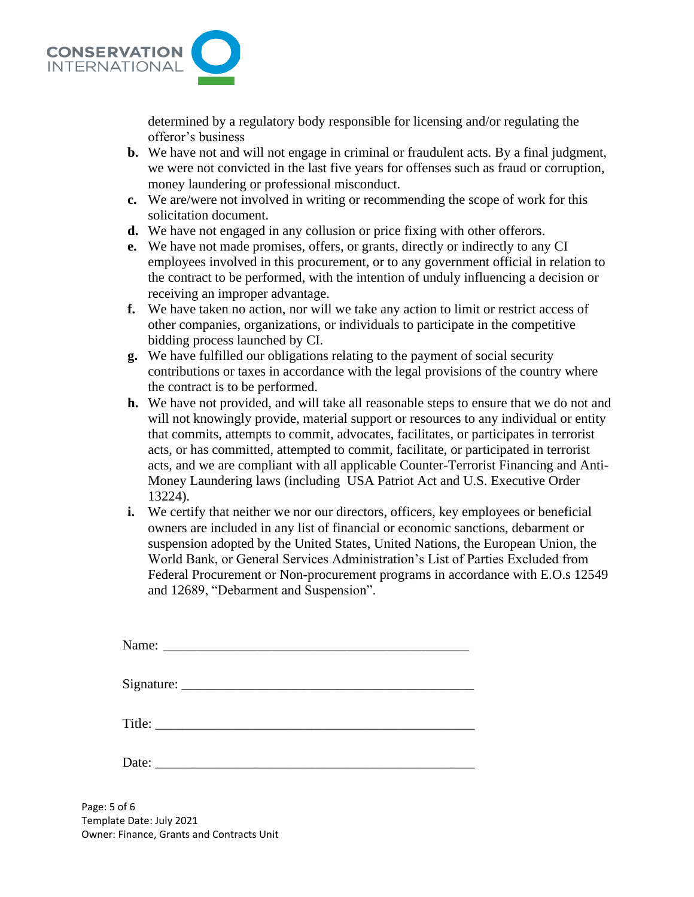

determined by a regulatory body responsible for licensing and/or regulating the offeror's business

- **b.** We have not and will not engage in criminal or fraudulent acts. By a final judgment, we were not convicted in the last five years for offenses such as fraud or corruption, money laundering or professional misconduct.
- **c.** We are/were not involved in writing or recommending the scope of work for this solicitation document.
- **d.** We have not engaged in any collusion or price fixing with other offerors.
- **e.** We have not made promises, offers, or grants, directly or indirectly to any CI employees involved in this procurement, or to any government official in relation to the contract to be performed, with the intention of unduly influencing a decision or receiving an improper advantage.
- **f.** We have taken no action, nor will we take any action to limit or restrict access of other companies, organizations, or individuals to participate in the competitive bidding process launched by CI.
- **g.** We have fulfilled our obligations relating to the payment of social security contributions or taxes in accordance with the legal provisions of the country where the contract is to be performed.
- **h.** We have not provided, and will take all reasonable steps to ensure that we do not and will not knowingly provide, material support or resources to any individual or entity that commits, attempts to commit, advocates, facilitates, or participates in terrorist acts, or has committed, attempted to commit, facilitate, or participated in terrorist acts, and we are compliant with all applicable Counter-Terrorist Financing and Anti-Money Laundering laws (including USA Patriot Act and U.S. Executive Order 13224).
- **i.** We certify that neither we nor our directors, officers, key employees or beneficial owners are included in any list of financial or economic sanctions, debarment or suspension adopted by the United States, United Nations, the European Union, the World Bank, or General Services Administration's List of Parties Excluded from Federal Procurement or Non-procurement programs in accordance with E.O.s 12549 and 12689, "Debarment and Suspension".

| Date: $\frac{1}{\sqrt{1-\frac{1}{2}} \cdot \frac{1}{2}}$ |
|----------------------------------------------------------|
|                                                          |

Page: 5 of 6 Template Date: July 2021 Owner: Finance, Grants and Contracts Unit